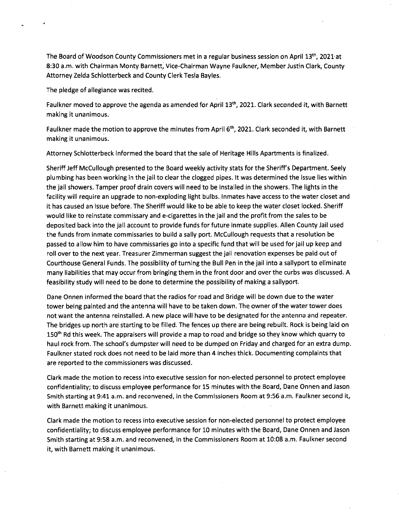The Board of Woodson County Commissioners met in a regular business session on April 13th, 2021 at 8:30 a.m. with Chairman Monty Barnett, Vice-Chairman Wayne Faulkner, Member Justin Clark, County Attorney Zelda Schlotterbeck and County Clerk Tesla Bayles.

The pledge of allegiance was recited.

Faulkner moved to approve the agenda as amended for April 13th , 2021. Clark seconded it, with Barnett making it unanimous.

Faulkner made the motion to approve the minutes from April  $6<sup>th</sup>$ , 2021. Clark seconded it, with Barnett making it unanimous.

Attorney Schlotterbeck informed the board that the sale of Heritage Hills Apartments is finalized.

Sheriff Jeff McCullough presented to the Board weekly activity stats for the Sheriff's Department. Seely plumbing has been working in the jail to clear the clogged pipes. It was determined the issue lies within the jail showers. Tamper proof drain covers will need to be installed in the showers. The lights in the facility will require an upgrade to non-exploding light bulbs. Inmates have access to the water closet and it has caused an issue before. The Sheriff would like to be able to keep the water closet locked. Sheriff would like to reinstate commissary and e-cigarettes in the jail and the profit from the sales to be deposited back into the jail account to provide funds for future inmate supplies. Allen County Jail used the funds from inmate commissaries to build a sally port. McCullough requests that a resolution be passed to allow him to have commissaries go into a specific fund that will be used for jail up keep and roll over to the next year. Treasurer Zimmerman suggest the jail renovation expenses be paid out of Courthouse General Funds. The possibility of turning the Bull Pen in the jail into a sallyport to eliminate many liabilities that may occur from bringing them in the front door and over the curbs was discussed. A feasibility study will need to be done to determine the possibility of making a sallyport.

Dane Onnen informed the board that the radios for road and Bridge will be down due to the water tower being painted and the antenna will have to be taken down. The owner of the water tower does not want the antenna reinstalled. A new place will have to be designated for the antenna and repeater. The bridges up north are starting to be filled. The fences up there are being rebuilt. Rock is being laid on 150<sup>th</sup> Rd this week. The appraisers will provide a map to road and bridge so they know which quarry to haul rock from. The school's dumpster will need to be dumped on Friday and charged for an extra dump. Faulkner stated rock does not need to be laid more than **4** inches thick. Documenting complaints that are reported to the commissioners was discussed.

Clark made the motion to recess into executive session for non-elected personnel to protect employee confidentiality; to discuss employee performance for 15 minutes with the Board, Dane Onnen and Jason Smith starting at 9:41 a.m. and reconvened, in the Commissioners Room at 9:56 a.m. Faulkner second it, with Barnett making it unanimous.

Clark made the motion to recess into executive session for non-elected personnel to protect employee confidentiality; to discuss employee performance for 10 minutes with the Board, Dane Onnen and Jason Smith starting at 9:58 a.m. and reconvened, in the Commissioners Room at 10:08 a.m. Faulkner second it, with Barnett making it unanimous.